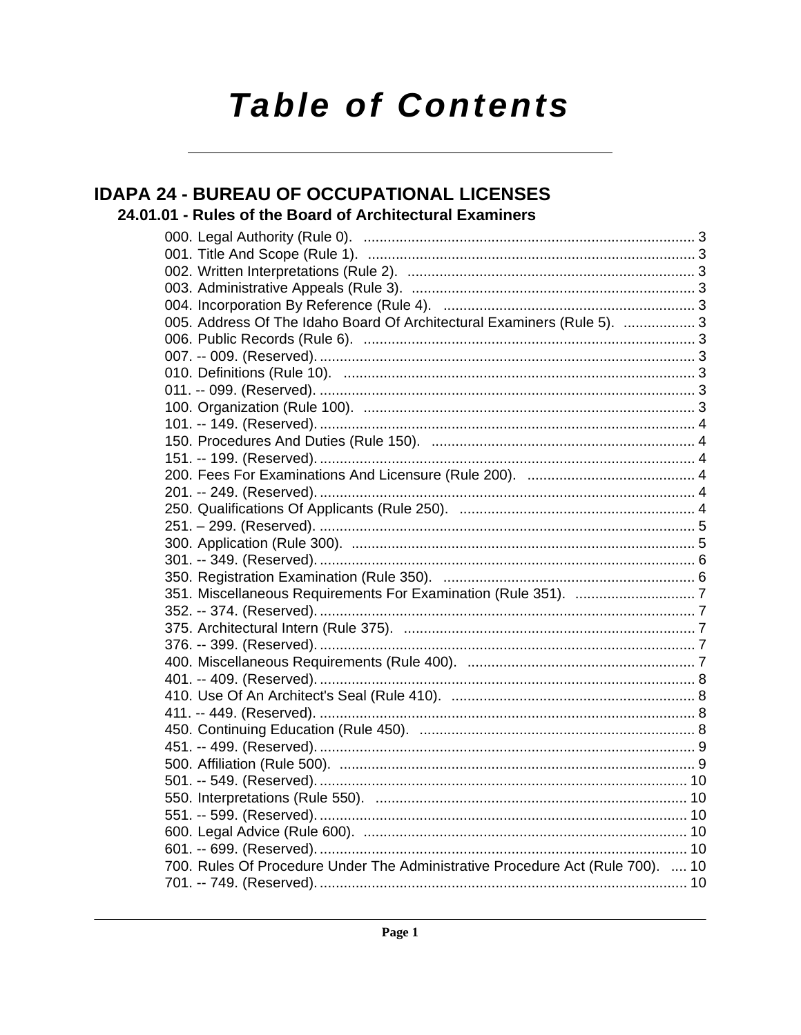# **Table of Contents**

# **IDAPA 24 - BUREAU OF OCCUPATIONAL LICENSES**

## 24.01.01 - Rules of the Board of Architectural Examiners

| 005. Address Of The Idaho Board Of Architectural Examiners (Rule 5).  3        |  |
|--------------------------------------------------------------------------------|--|
|                                                                                |  |
|                                                                                |  |
|                                                                                |  |
|                                                                                |  |
|                                                                                |  |
|                                                                                |  |
|                                                                                |  |
|                                                                                |  |
|                                                                                |  |
|                                                                                |  |
|                                                                                |  |
|                                                                                |  |
|                                                                                |  |
|                                                                                |  |
|                                                                                |  |
|                                                                                |  |
|                                                                                |  |
|                                                                                |  |
|                                                                                |  |
|                                                                                |  |
|                                                                                |  |
|                                                                                |  |
|                                                                                |  |
|                                                                                |  |
|                                                                                |  |
|                                                                                |  |
|                                                                                |  |
|                                                                                |  |
|                                                                                |  |
|                                                                                |  |
|                                                                                |  |
| 700. Rules Of Procedure Under The Administrative Procedure Act (Rule 700).  10 |  |
|                                                                                |  |
|                                                                                |  |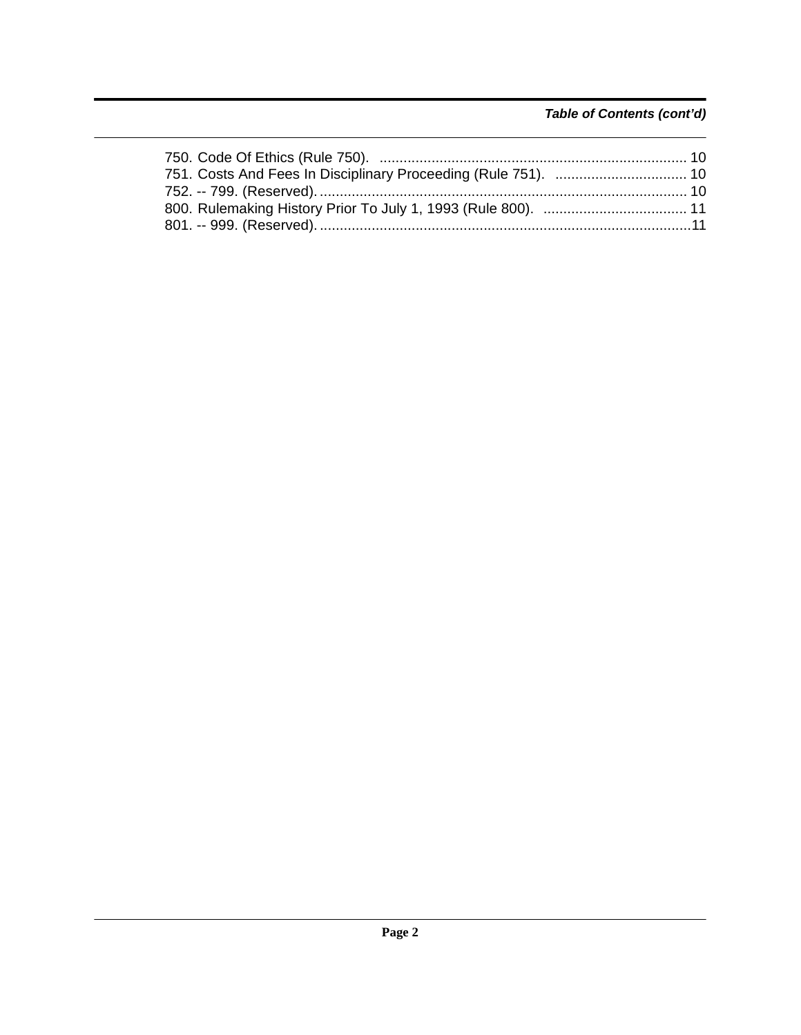### *Table of Contents (cont'd)*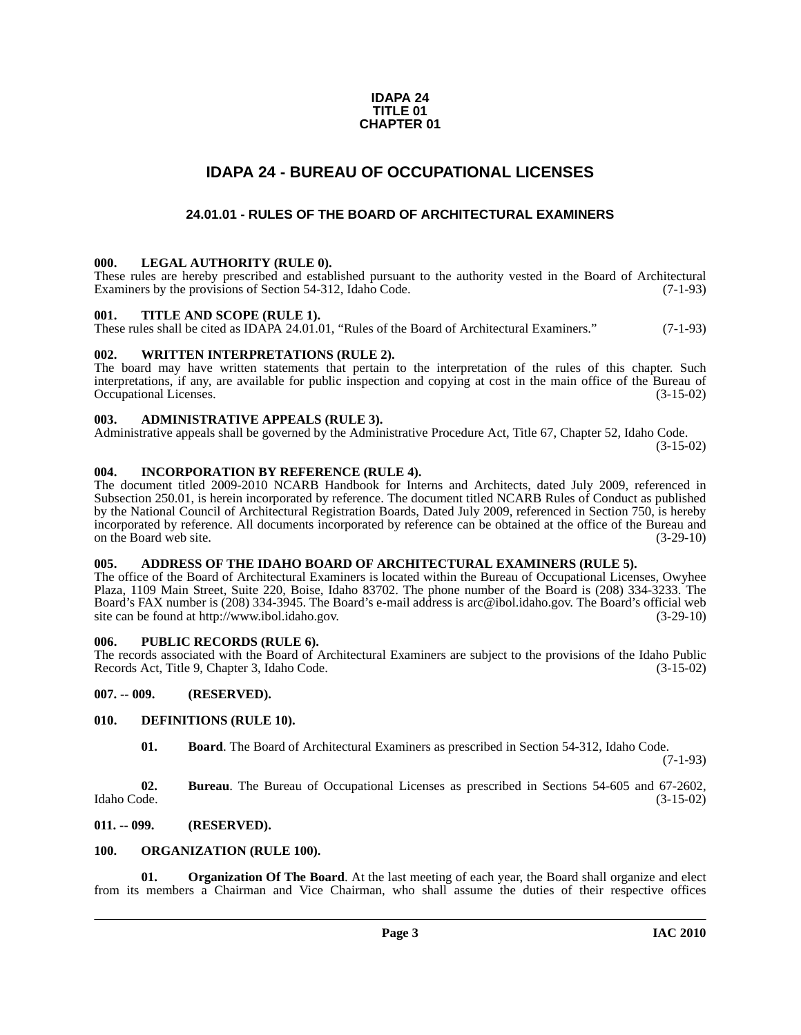#### **IDAPA 24 TITLE 01 CHAPTER 01**

## **IDAPA 24 - BUREAU OF OCCUPATIONAL LICENSES**

### **24.01.01 - RULES OF THE BOARD OF ARCHITECTURAL EXAMINERS**

#### <span id="page-2-2"></span><span id="page-2-1"></span><span id="page-2-0"></span>**000. LEGAL AUTHORITY (RULE 0).**

These rules are hereby prescribed and established pursuant to the authority vested in the Board of Architectural Examiners by the provisions of Section 54-312, Idaho Code. (7-1-93)

#### <span id="page-2-3"></span>**001. TITLE AND SCOPE (RULE 1).**

These rules shall be cited as IDAPA 24.01.01, "Rules of the Board of Architectural Examiners." (7-1-93)

#### <span id="page-2-4"></span>**002. WRITTEN INTERPRETATIONS (RULE 2).**

The board may have written statements that pertain to the interpretation of the rules of this chapter. Such interpretations, if any, are available for public inspection and copying at cost in the main office of the Bureau of Occupational Licenses. (3-15-02) Occupational Licenses.

#### <span id="page-2-5"></span>**003. ADMINISTRATIVE APPEALS (RULE 3).**

Administrative appeals shall be governed by the Administrative Procedure Act, Title 67, Chapter 52, Idaho Code.

(3-15-02)

#### <span id="page-2-6"></span>**004. INCORPORATION BY REFERENCE (RULE 4).**

The document titled 2009-2010 NCARB Handbook for Interns and Architects, dated July 2009, referenced in Subsection 250.01, is herein incorporated by reference. The document titled NCARB Rules of Conduct as published by the National Council of Architectural Registration Boards, Dated July 2009, referenced in Section 750, is hereby incorporated by reference. All documents incorporated by reference can be obtained at the office of the Bureau and on the Board web site.

#### <span id="page-2-7"></span>**005. ADDRESS OF THE IDAHO BOARD OF ARCHITECTURAL EXAMINERS (RULE 5).**

[The office of the Board of Architectural Examiners is located within the Bureau of Occupational Licenses, Owyhee](mailto:arc@ibol.idaho.gov) Plaza, 1109 Main Street, Suite 220, Boise, Idaho 83702. The phone number of the Board is (208) 334-3233. The Board's FAX number is (208) 334-3945. The Board's e-mail address is arc@ibol.idaho.gov. The Board's official web [site can be found at](mailto:arc@ibol.idaho.gov) http://www.ibol.idaho.gov.

#### <span id="page-2-8"></span>**006. PUBLIC RECORDS (RULE 6).**

The records associated with the Board of Architectural Examiners are subject to the provisions of the Idaho Public Records Act, Title 9, Chapter 3, Idaho Code. (3-15-02)

#### <span id="page-2-9"></span>**007. -- 009. (RESERVED).**

#### <span id="page-2-10"></span>**010. DEFINITIONS (RULE 10).**

<span id="page-2-13"></span>**01. Board**. The Board of Architectural Examiners as prescribed in Section 54-312, Idaho Code.

(7-1-93)

**02. Bureau**. The Bureau of Occupational Licenses as prescribed in Sections 54-605 and 67-2602, Idaho Code. (3-15-02)

#### <span id="page-2-11"></span>**011. -- 099. (RESERVED).**

#### <span id="page-2-14"></span><span id="page-2-12"></span>**100. ORGANIZATION (RULE 100).**

<span id="page-2-15"></span>**01. Organization Of The Board**. At the last meeting of each year, the Board shall organize and elect from its members a Chairman and Vice Chairman, who shall assume the duties of their respective offices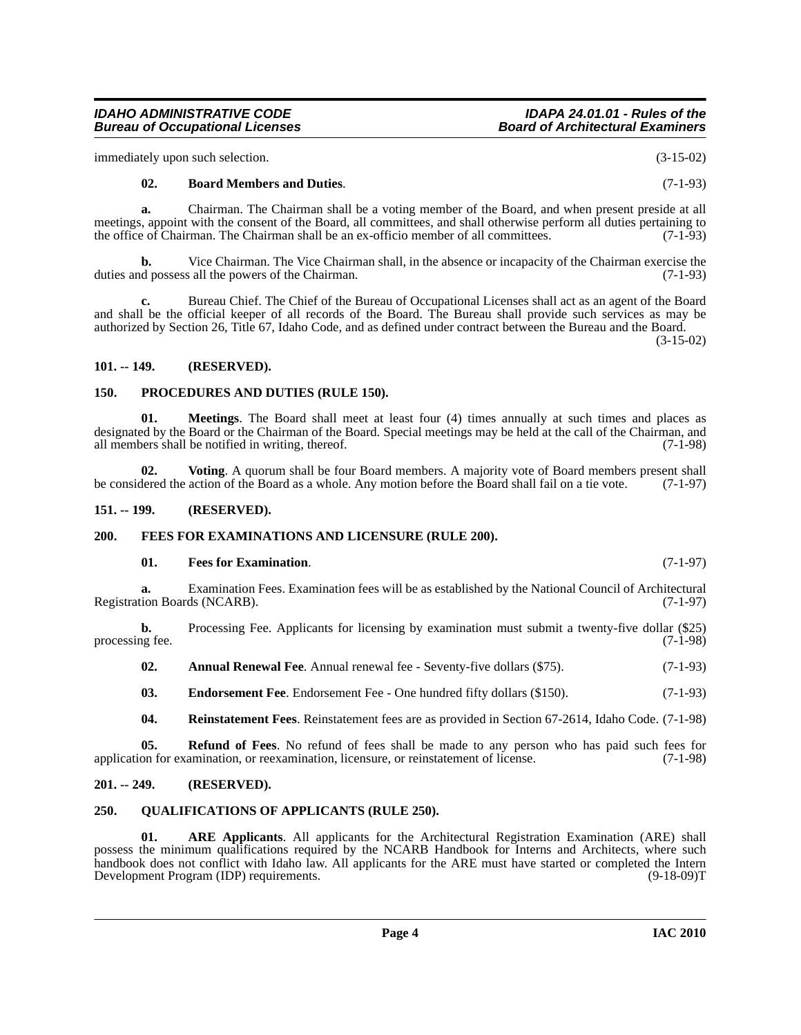immediately upon such selection. (3-15-02)

#### <span id="page-3-8"></span>**02. Board Members and Duties**. (7-1-93)

**a.** Chairman. The Chairman shall be a voting member of the Board, and when present preside at all meetings, appoint with the consent of the Board, all committees, and shall otherwise perform all duties pertaining to<br>the office of Chairman. The Chairman shall be an ex-officio member of all committees. (7-1-93) the office of Chairman. The Chairman shall be an ex-officio member of all committees.

**b.** Vice Chairman. The Vice Chairman shall, in the absence or incapacity of the Chairman exercise the duties and possess all the powers of the Chairman. (7-1-93)

**c.** Bureau Chief. The Chief of the Bureau of Occupational Licenses shall act as an agent of the Board and shall be the official keeper of all records of the Board. The Bureau shall provide such services as may be authorized by Section 26, Title 67, Idaho Code, and as defined under contract between the Bureau and the Board.

(3-15-02)

#### <span id="page-3-0"></span>**101. -- 149. (RESERVED).**

#### <span id="page-3-12"></span><span id="page-3-1"></span>**150. PROCEDURES AND DUTIES (RULE 150).**

<span id="page-3-11"></span>**01. Meetings**. The Board shall meet at least four (4) times annually at such times and places as designated by the Board or the Chairman of the Board. Special meetings may be held at the call of the Chairman, and all members shall be notified in writing, thereof. (7-1-98) all members shall be notified in writing, thereof.

<span id="page-3-16"></span>**02.** Voting. A quorum shall be four Board members. A majority vote of Board members present shall dered the action of the Board as a whole. Any motion before the Board shall fail on a tie vote. (7-1-97) be considered the action of the Board as a whole. Any motion before the Board shall fail on a tie vote.

#### <span id="page-3-2"></span>**151. -- 199. (RESERVED).**

#### <span id="page-3-3"></span>**200. FEES FOR EXAMINATIONS AND LICENSURE (RULE 200).**

#### <span id="page-3-10"></span>**01. Fees for Examination**. (7-1-97)

**a.** Examination Fees. Examination fees will be as established by the National Council of Architectural tion Boards (NCARB).  $(7-1-97)$ Registration Boards (NCARB).

**b.** Processing Fee. Applicants for licensing by examination must submit a twenty-five dollar (\$25) processing fee. (7-1-98)

<span id="page-3-6"></span>**02.** Annual Renewal Fee. Annual renewal fee - Seventy-five dollars (\$75). (7-1-93)

<span id="page-3-9"></span>**03. Endorsement Fee**. Endorsement Fee - One hundred fifty dollars (\$150). (7-1-93)

<span id="page-3-15"></span><span id="page-3-14"></span>**04. Reinstatement Fees**. Reinstatement fees are as provided in Section 67-2614, Idaho Code. (7-1-98)

**05. Refund of Fees**. No refund of fees shall be made to any person who has paid such fees for application for examination, or reexamination, licensure, or reinstatement of license. (7-1-98)

#### <span id="page-3-4"></span>**201. -- 249. (RESERVED).**

#### <span id="page-3-13"></span><span id="page-3-5"></span>**250. QUALIFICATIONS OF APPLICANTS (RULE 250).**

<span id="page-3-7"></span>**01. ARE Applicants**. All applicants for the Architectural Registration Examination (ARE) shall possess the minimum qualifications required by the NCARB Handbook for Interns and Architects, where such handbook does not conflict with Idaho law. All applicants for the ARE must have started or completed the Intern<br>Development Program (IDP) requirements. (9-18-09)T Development Program (IDP) requirements.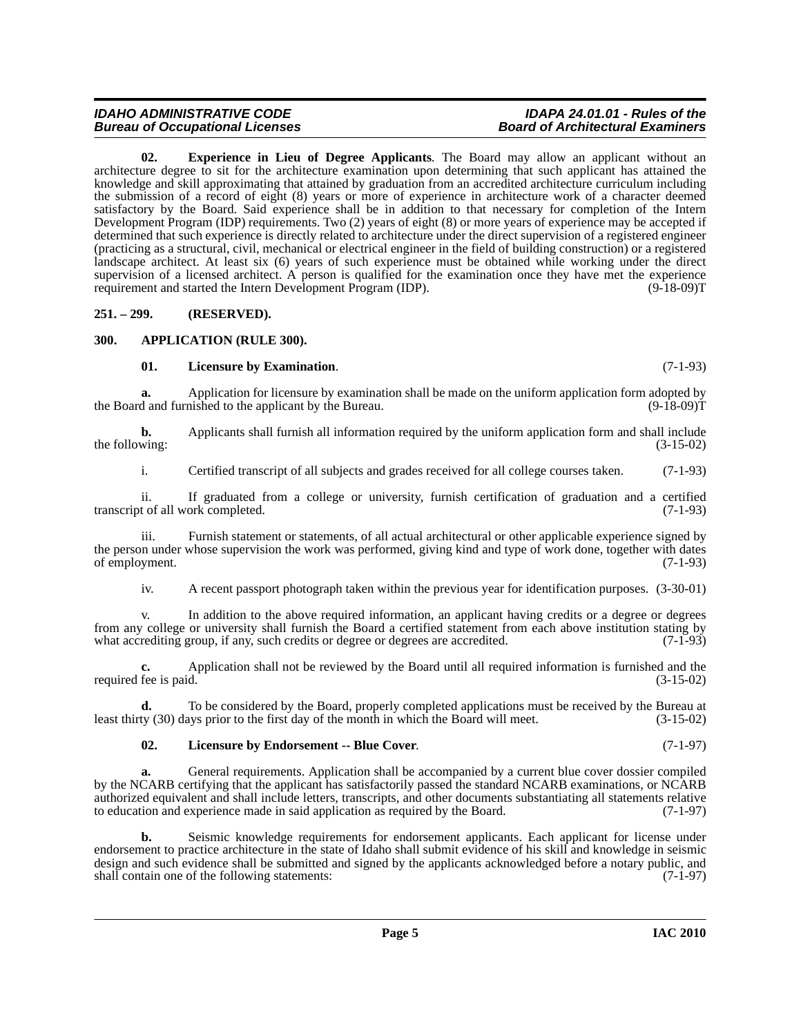<span id="page-4-3"></span>**02. Experience in Lieu of Degree Applicants**. The Board may allow an applicant without an architecture degree to sit for the architecture examination upon determining that such applicant has attained the knowledge and skill approximating that attained by graduation from an accredited architecture curriculum including the submission of a record of eight (8) years or more of experience in architecture work of a character deemed satisfactory by the Board. Said experience shall be in addition to that necessary for completion of the Intern Development Program (IDP) requirements. Two (2) years of eight (8) or more years of experience may be accepted if determined that such experience is directly related to architecture under the direct supervision of a registered engineer (practicing as a structural, civil, mechanical or electrical engineer in the field of building construction) or a registered landscape architect. At least six (6) years of such experience must be obtained while working under the direct supervision of a licensed architect. A person is qualified for the examination once they have met the experience requirement and started the Intern Development Program (IDP). (9-18-09) requirement and started the Intern Development Program (IDP).

#### <span id="page-4-0"></span>**251. – 299. (RESERVED).**

#### <span id="page-4-1"></span>**300. APPLICATION (RULE 300).**

#### <span id="page-4-5"></span><span id="page-4-2"></span>**01. Licensure by Examination**. (7-1-93)

**a.** Application for licensure by examination shall be made on the uniform application form adopted by d and furnished to the applicant by the Bureau. the Board and furnished to the applicant by the Bureau.

**b.** Applicants shall furnish all information required by the uniform application form and shall include wing: (3-15-02) the following:

i. Certified transcript of all subjects and grades received for all college courses taken. (7-1-93)

ii. If graduated from a college or university, furnish certification of graduation and a certified transcript of all work completed.

iii. Furnish statement or statements, of all actual architectural or other applicable experience signed by the person under whose supervision the work was performed, giving kind and type of work done, together with dates of employment.  $(7-1-93)$ 

iv. A recent passport photograph taken within the previous year for identification purposes. (3-30-01)

v. In addition to the above required information, an applicant having credits or a degree or degrees from any college or university shall furnish the Board a certified statement from each above institution stating by what accrediting group, if any, such credits or degree or degrees are accredited.  $(7-1-93)$ 

**c.** Application shall not be reviewed by the Board until all required information is furnished and the required fee is paid. (3-15-02)

**d.** To be considered by the Board, properly completed applications must be received by the Bureau at ty (30) days prior to the first day of the month in which the Board will meet. (3-15-02) least thirty (30) days prior to the first day of the month in which the Board will meet.

#### <span id="page-4-4"></span>**02. Licensure by Endorsement -- Blue Cover**. (7-1-97)

General requirements. Application shall be accompanied by a current blue cover dossier compiled by the NCARB certifying that the applicant has satisfactorily passed the standard NCARB examinations, or NCARB authorized equivalent and shall include letters, transcripts, and other documents substantiating all statements relative to education and experience made in said application as required by the Board. (7-1-97)

**b.** Seismic knowledge requirements for endorsement applicants. Each applicant for license under endorsement to practice architecture in the state of Idaho shall submit evidence of his skill and knowledge in seismic design and such evidence shall be submitted and signed by the applicants acknowledged before a notary public, and shall contain one of the following statements: (7-1-97) shall contain one of the following statements: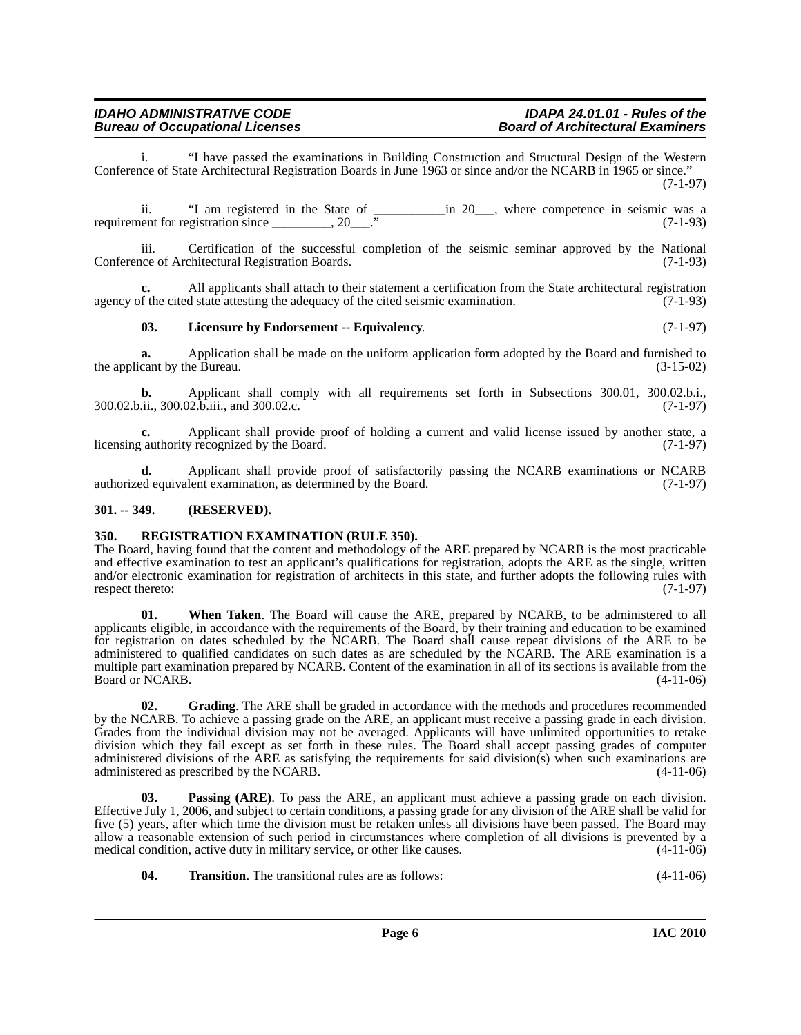i. "I have passed the examinations in Building Construction and Structural Design of the Western Conference of State Architectural Registration Boards in June 1963 or since and/or the NCARB in 1965 or since." (7-1-97)

ii. "I am registered in the State of  $\frac{100}{100}$  in 20\_\_\_, where competence in seismic was a requirement for registration since \_\_\_\_\_\_\_\_, 20\_\_\_." (7-1-93)

iii. Certification of the successful completion of the seismic seminar approved by the National Conference of Architectural Registration Boards. (7-1-93)

**c.** All applicants shall attach to their statement a certification from the State architectural registration agency of the cited state attesting the adequacy of the cited seismic examination.  $(7-1-93)$ 

### <span id="page-5-3"></span>**03. Licensure by Endorsement -- Equivalency**. (7-1-97)

**a.** Application shall be made on the uniform application form adopted by the Board and furnished to cant by the Bureau. (3-15-02) the applicant by the Bureau.

**b.** Applicant shall comply with all requirements set forth in Subsections 300.01, 300.02.b.i., 300.02.b.ii., 300.02.b.iii., and 300.02.c. (7-1-97)

**c.** Applicant shall provide proof of holding a current and valid license issued by another state, a (authority recognized by the Board. (7-1-97) licensing authority recognized by the Board.

**d.** Applicant shall provide proof of satisfactorily passing the NCARB examinations or NCARB ed equivalent examination, as determined by the Board. (7-1-97) authorized equivalent examination, as determined by the Board.

#### <span id="page-5-0"></span>**301. -- 349. (RESERVED).**

#### <span id="page-5-5"></span><span id="page-5-1"></span>**350. REGISTRATION EXAMINATION (RULE 350).**

The Board, having found that the content and methodology of the ARE prepared by NCARB is the most practicable and effective examination to test an applicant's qualifications for registration, adopts the ARE as the single, written and/or electronic examination for registration of architects in this state, and further adopts the following rules with respect thereto: (7-1-97)

**01. When Taken**. The Board will cause the ARE, prepared by NCARB, to be administered to all applicants eligible, in accordance with the requirements of the Board, by their training and education to be examined for registration on dates scheduled by the NCARB. The Board shall cause repeat divisions of the ARE to be administered to qualified candidates on such dates as are scheduled by the NCARB. The ARE examination is a multiple part examination prepared by NCARB. Content of the examination in all of its sections is available from the Board or NCARB. (4-11-06)

<span id="page-5-2"></span>**02. Grading**. The ARE shall be graded in accordance with the methods and procedures recommended by the NCARB. To achieve a passing grade on the ARE, an applicant must receive a passing grade in each division. Grades from the individual division may not be averaged. Applicants will have unlimited opportunities to retake division which they fail except as set forth in these rules. The Board shall accept passing grades of computer administered divisions of the ARE as satisfying the requirements for said division(s) when such examinations are administered as prescribed by the NCARB. (4-11-06)

<span id="page-5-4"></span>**03. Passing (ARE)**. To pass the ARE, an applicant must achieve a passing grade on each division. Effective July 1, 2006, and subject to certain conditions, a passing grade for any division of the ARE shall be valid for five (5) years, after which time the division must be retaken unless all divisions have been passed. The Board may allow a reasonable extension of such period in circumstances where completion of all divisions is prevented by a medical condition, active duty in military service, or other like causes. (4-11-06) medical condition, active duty in military service, or other like causes.

<span id="page-5-6"></span>**04. Transition**. The transitional rules are as follows: (4-11-06)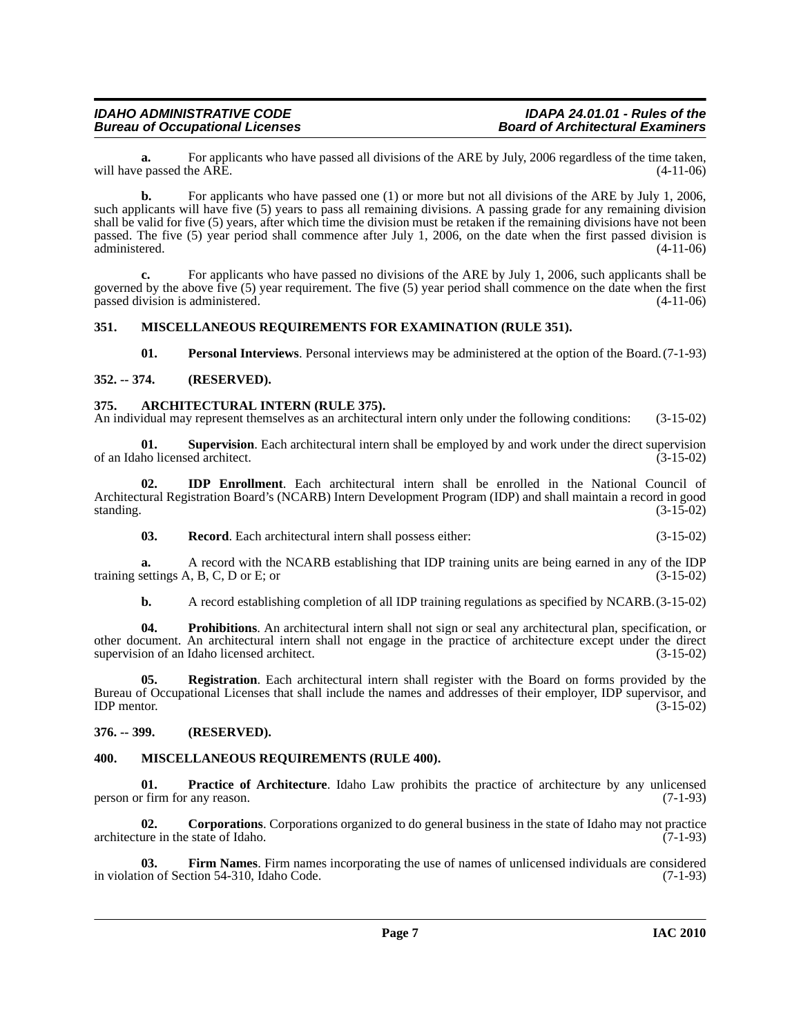**a.** For applicants who have passed all divisions of the ARE by July, 2006 regardless of the time taken, <br>e passed the ARE. (4-11-06) will have passed the  $A\hat{R}\hat{E}$ .

**b.** For applicants who have passed one (1) or more but not all divisions of the ARE by July 1, 2006, such applicants will have five (5) years to pass all remaining divisions. A passing grade for any remaining division shall be valid for five (5) years, after which time the division must be retaken if the remaining divisions have not been passed. The five (5) year period shall commence after July 1, 2006, on the date when the first passed division is administered. (4-11-06)

For applicants who have passed no divisions of the ARE by July 1, 2006, such applicants shall be governed by the above five (5) year requirement. The five (5) year period shall commence on the date when the first passed division is administered. (4-11-06)

### <span id="page-6-0"></span>**351. MISCELLANEOUS REQUIREMENTS FOR EXAMINATION (RULE 351).**

<span id="page-6-16"></span><span id="page-6-11"></span><span id="page-6-10"></span><span id="page-6-5"></span>**01. Personal Interviews**. Personal interviews may be administered at the option of the Board.(7-1-93)

### <span id="page-6-1"></span>**352. -- 374. (RESERVED).**

### <span id="page-6-2"></span>**375. ARCHITECTURAL INTERN (RULE 375).**

An individual may represent themselves as an architectural intern only under the following conditions: (3-15-02)

**01. Supervision**. Each architectural intern shall be employed by and work under the direct supervision of an Idaho licensed architect. (3-15-02)

**02. IDP Enrollment**. Each architectural intern shall be enrolled in the National Council of Architectural Registration Board's (NCARB) Intern Development Program (IDP) and shall maintain a record in good standing.  $(3-15-02)$ 

<span id="page-6-14"></span><span id="page-6-8"></span>**03.** Record. Each architectural intern shall possess either: (3-15-02)

**a.** A record with the NCARB establishing that IDP training units are being earned in any of the IDP training settings  $A, B, C, D$  or E; or (3-15-02)

<span id="page-6-15"></span><span id="page-6-13"></span>**b.** A record establishing completion of all IDP training regulations as specified by NCARB. (3-15-02)

**04. Prohibitions**. An architectural intern shall not sign or seal any architectural plan, specification, or other document. An architectural intern shall not engage in the practice of architecture except under the direct supervision of an Idaho licensed architect. (3-15-02)

**05. Registration**. Each architectural intern shall register with the Board on forms provided by the Bureau of Occupational Licenses that shall include the names and addresses of their employer, IDP supervisor, and IDP mentor. (3-15-02)  $IDP$  mentor.  $(3-15-02)$ 

### <span id="page-6-3"></span>**376. -- 399. (RESERVED).**

### <span id="page-6-9"></span><span id="page-6-4"></span>**400. MISCELLANEOUS REQUIREMENTS (RULE 400).**

<span id="page-6-12"></span>**01. Practice of Architecture**. Idaho Law prohibits the practice of architecture by any unlicensed (7-1-93) person or firm for any reason.

<span id="page-6-6"></span>**02. Corporations**. Corporations organized to do general business in the state of Idaho may not practice architecture in the state of Idaho.  $(7-1-93)$ 

<span id="page-6-7"></span>**03. Firm Names**. Firm names incorporating the use of names of unlicensed individuals are considered on of Section 54-310, Idaho Code. (7-1-93) in violation of Section 54-310, Idaho Code.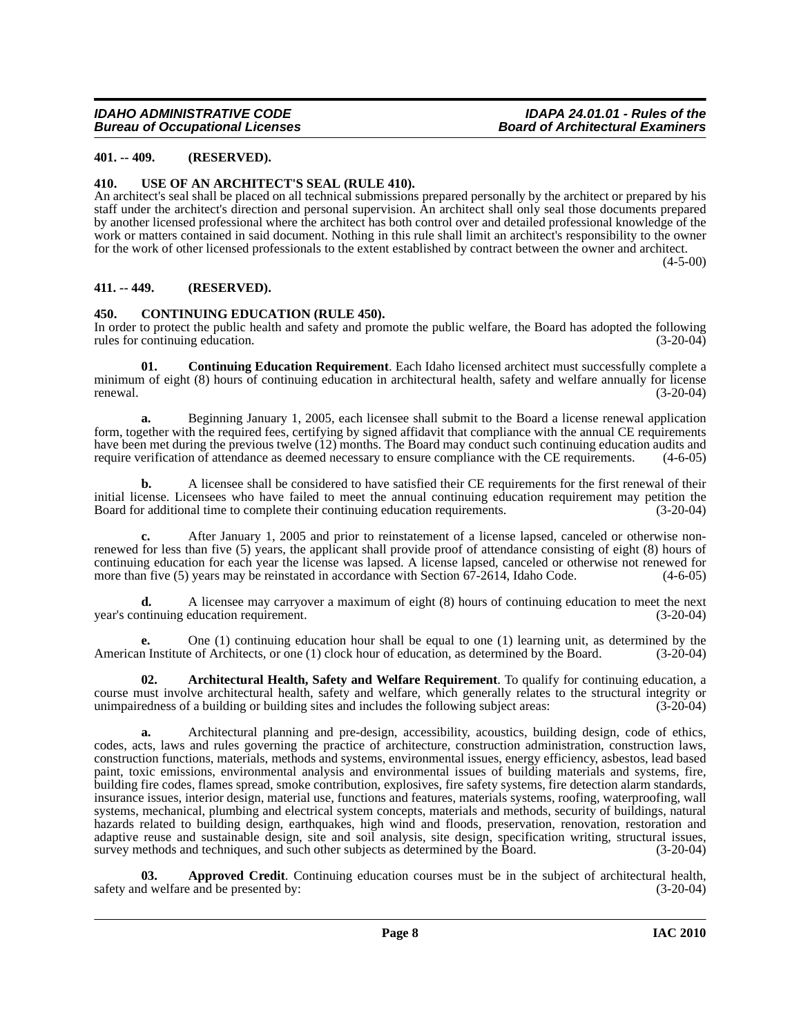### <span id="page-7-0"></span>**401. -- 409. (RESERVED).**

#### <span id="page-7-7"></span><span id="page-7-1"></span>**410. USE OF AN ARCHITECT'S SEAL (RULE 410).**

An architect's seal shall be placed on all technical submissions prepared personally by the architect or prepared by his staff under the architect's direction and personal supervision. An architect shall only seal those documents prepared by another licensed professional where the architect has both control over and detailed professional knowledge of the work or matters contained in said document. Nothing in this rule shall limit an architect's responsibility to the owner for the work of other licensed professionals to the extent established by contract between the owner and architect.

(4-5-00)

#### <span id="page-7-2"></span>**411. -- 449. (RESERVED).**

#### <span id="page-7-5"></span><span id="page-7-3"></span>**450. CONTINUING EDUCATION (RULE 450).**

In order to protect the public health and safety and promote the public welfare, the Board has adopted the following rules for continuing education. (3-20-04)

<span id="page-7-6"></span>**01. Continuing Education Requirement**. Each Idaho licensed architect must successfully complete a minimum of eight (8) hours of continuing education in architectural health, safety and welfare annually for license renewal. (3-20-04)

**a.** Beginning January 1, 2005, each licensee shall submit to the Board a license renewal application form, together with the required fees, certifying by signed affidavit that compliance with the annual CE requirements have been met during the previous twelve (12) months. The Board may conduct such continuing education audits and require verification of attendance as deemed necessary to ensure compliance with the CE requirements. (4-6-05)

**b.** A licensee shall be considered to have satisfied their CE requirements for the first renewal of their initial license. Licensees who have failed to meet the annual continuing education requirement may petition the<br>Board for additional time to complete their continuing education requirements. (3-20-04) Board for additional time to complete their continuing education requirements.

**c.** After January 1, 2005 and prior to reinstatement of a license lapsed, canceled or otherwise nonrenewed for less than five (5) years, the applicant shall provide proof of attendance consisting of eight (8) hours of continuing education for each year the license was lapsed. A license lapsed, canceled or otherwise not renewed for more than five (5) years may be reinstated in accordance with Section 67-2614, Idaho Code.  $(4-6-05)$ 

**d.** A licensee may carryover a maximum of eight (8) hours of continuing education to meet the next year's continuing education requirement. (3-20-04)

**e.** One (1) continuing education hour shall be equal to one (1) learning unit, as determined by the American Institute of Architects, or one (1) clock hour of education, as determined by the Board. (3-20-04)

<span id="page-7-4"></span>**02. Architectural Health, Safety and Welfare Requirement**. To qualify for continuing education, a course must involve architectural health, safety and welfare, which generally relates to the structural integrity or unimpairedness of a building or building sites and includes the following subject areas: (3-20-04)

**a.** Architectural planning and pre-design, accessibility, acoustics, building design, code of ethics, codes, acts, laws and rules governing the practice of architecture, construction administration, construction laws, construction functions, materials, methods and systems, environmental issues, energy efficiency, asbestos, lead based paint, toxic emissions, environmental analysis and environmental issues of building materials and systems, fire, building fire codes, flames spread, smoke contribution, explosives, fire safety systems, fire detection alarm standards, insurance issues, interior design, material use, functions and features, materials systems, roofing, waterproofing, wall systems, mechanical, plumbing and electrical system concepts, materials and methods, security of buildings, natural hazards related to building design, earthquakes, high wind and floods, preservation, renovation, restoration and adaptive reuse and sustainable design, site and soil analysis, site design, specification writing, structural issues, survey methods and techniques, and such other subjects as determined by the Board. (3-20-04)

**03. Approved Credit**. Continuing education courses must be in the subject of architectural health, safety and welfare and be presented by: (3-20-04)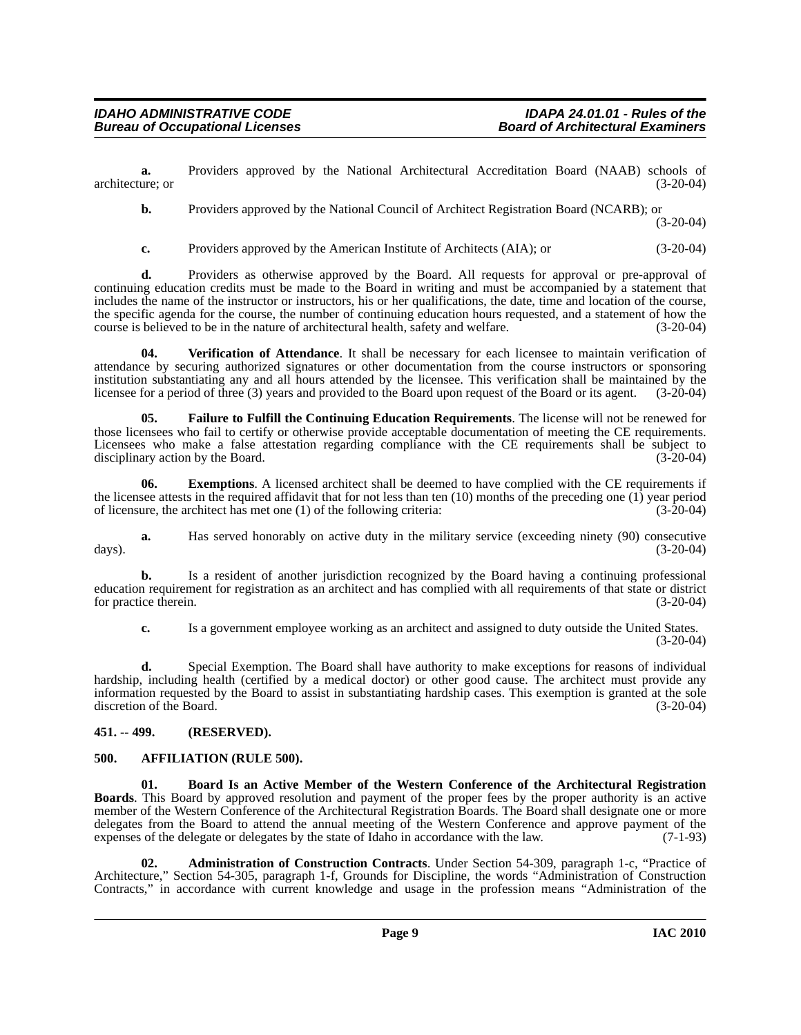(3-20-04)

**a.** Providers approved by the National Architectural Accreditation Board (NAAB) schools of architecture; or (3-20-04)

**b.** Providers approved by the National Council of Architect Registration Board (NCARB); or

**c.** Providers approved by the American Institute of Architects (AIA); or (3-20-04)

**d.** Providers as otherwise approved by the Board. All requests for approval or pre-approval of continuing education credits must be made to the Board in writing and must be accompanied by a statement that includes the name of the instructor or instructors, his or her qualifications, the date, time and location of the course, the specific agenda for the course, the number of continuing education hours requested, and a statement of how the course is believed to be in the nature of architectural health, safety and welfare. (3-20-04)

<span id="page-8-6"></span>**04. Verification of Attendance**. It shall be necessary for each licensee to maintain verification of attendance by securing authorized signatures or other documentation from the course instructors or sponsoring institution substantiating any and all hours attended by the licensee. This verification shall be maintained by the licensee for a period of three (3) years and provided to the Board upon request of the Board or its agent. (3-20-04)

<span id="page-8-5"></span>**05. Failure to Fulfill the Continuing Education Requirements**. The license will not be renewed for those licensees who fail to certify or otherwise provide acceptable documentation of meeting the CE requirements. Licensees who make a false attestation regarding compliance with the CE requirements shall be subject to disciplinary action by the Board. (3-20-04)

**06.** Exemptions. A licensed architect shall be deemed to have complied with the CE requirements if the licensee attests in the required affidavit that for not less than ten (10) months of the preceding one (1) year period of licensure, the architect has met one (1) of the following criteria:  $(3-20-04)$ of licensure, the architect has met one  $(1)$  of the following criteria:

**a.** Has served honorably on active duty in the military service (exceeding ninety (90) consecutive (3-20-04) days). (3-20-04)

**b.** Is a resident of another jurisdiction recognized by the Board having a continuing professional education requirement for registration as an architect and has complied with all requirements of that state or district for practice therein. (3-20-04) for practice therein.

**c.** Is a government employee working as an architect and assigned to duty outside the United States. (3-20-04)

**d.** Special Exemption. The Board shall have authority to make exceptions for reasons of individual hardship, including health (certified by a medical doctor) or other good cause. The architect must provide any information requested by the Board to assist in substantiating hardship cases. This exemption is granted at the sole discretion of the Board. (3-20-04)

#### <span id="page-8-0"></span>**451. -- 499. (RESERVED).**

#### <span id="page-8-3"></span><span id="page-8-1"></span>**500. AFFILIATION (RULE 500).**

<span id="page-8-4"></span>**01. Board Is an Active Member of the Western Conference of the Architectural Registration Boards**. This Board by approved resolution and payment of the proper fees by the proper authority is an active member of the Western Conference of the Architectural Registration Boards. The Board shall designate one or more delegates from the Board to attend the annual meeting of the Western Conference and approve payment of the expenses of the delegate or delegates by the state of Idaho in accordance with the law. (7-1-93)

<span id="page-8-2"></span>**02. Administration of Construction Contracts**. Under Section 54-309, paragraph 1-c, "Practice of Architecture," Section 54-305, paragraph 1-f, Grounds for Discipline, the words "Administration of Construction Contracts," in accordance with current knowledge and usage in the profession means "Administration of the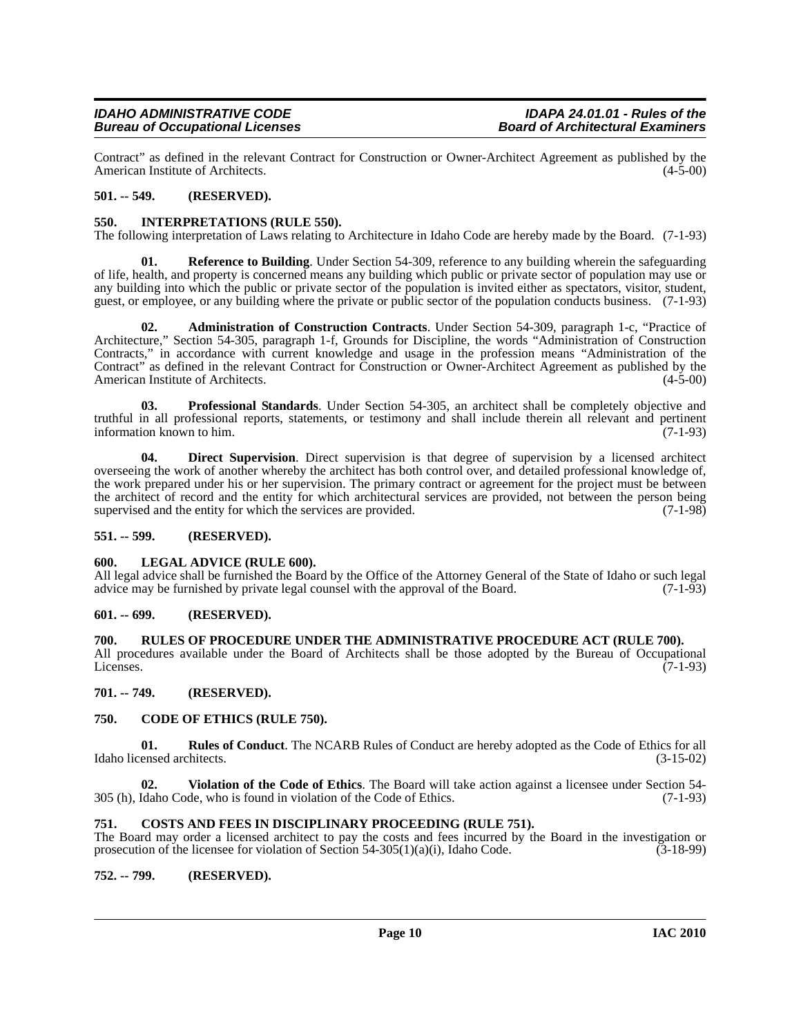Contract" as defined in the relevant Contract for Construction or Owner-Architect Agreement as published by the American Institute of Architects.

#### <span id="page-9-0"></span>**501. -- 549. (RESERVED).**

#### <span id="page-9-14"></span><span id="page-9-1"></span>**550. INTERPRETATIONS (RULE 550).**

The following interpretation of Laws relating to Architecture in Idaho Code are hereby made by the Board. (7-1-93)

<span id="page-9-17"></span>**Reference to Building**. Under Section 54-309, reference to any building wherein the safeguarding of life, health, and property is concerned means any building which public or private sector of population may use or any building into which the public or private sector of the population is invited either as spectators, visitor, student, guest, or employee, or any building where the private or public sector of the population conducts business. (7-1-93)

<span id="page-9-10"></span>**02. Administration of Construction Contracts**. Under Section 54-309, paragraph 1-c, "Practice of Architecture," Section 54-305, paragraph 1-f, Grounds for Discipline, the words "Administration of Construction Contracts," in accordance with current knowledge and usage in the profession means "Administration of the Contract" as defined in the relevant Contract for Construction or Owner-Architect Agreement as published by the American Institute of Architects. (4-5-00)

<span id="page-9-16"></span>**03. Professional Standards**. Under Section 54-305, an architect shall be completely objective and truthful in all professional reports, statements, or testimony and shall include therein all relevant and pertinent information known to him.

<span id="page-9-13"></span>**04. Direct Supervision**. Direct supervision is that degree of supervision by a licensed architect overseeing the work of another whereby the architect has both control over, and detailed professional knowledge of, the work prepared under his or her supervision. The primary contract or agreement for the project must be between the architect of record and the entity for which architectural services are provided, not between the person being<br>supervised and the entity for which the services are provided. (7-1-98) supervised and the entity for which the services are provided.

#### <span id="page-9-2"></span>**551. -- 599. (RESERVED).**

#### <span id="page-9-15"></span><span id="page-9-3"></span>**600. LEGAL ADVICE (RULE 600).**

All legal advice shall be furnished the Board by the Office of the Attorney General of the State of Idaho or such legal advice may be furnished by private legal counsel with the approval of the Board. (7-1-93)

#### <span id="page-9-4"></span>**601. -- 699. (RESERVED).**

#### <span id="page-9-5"></span>**700. RULES OF PROCEDURE UNDER THE ADMINISTRATIVE PROCEDURE ACT (RULE 700).**

All procedures available under the Board of Architects shall be those adopted by the Bureau of Occupational Licenses. (7-1-93) Licenses. (7-1-93)

<span id="page-9-6"></span>**701. -- 749. (RESERVED).**

#### <span id="page-9-11"></span><span id="page-9-7"></span>**750. CODE OF ETHICS (RULE 750).**

<span id="page-9-18"></span>**01. Rules of Conduct**. The NCARB Rules of Conduct are hereby adopted as the Code of Ethics for all Idaho licensed architects. (3-15-02)

<span id="page-9-19"></span>**02.** Violation of the Code of Ethics. The Board will take action against a licensee under Section 54-<br>Idaho Code, who is found in violation of the Code of Ethics. (7-1-93) 305 (h), Idaho Code, who is found in violation of the Code of Ethics.

#### <span id="page-9-12"></span><span id="page-9-8"></span>**751. COSTS AND FEES IN DISCIPLINARY PROCEEDING (RULE 751).**

The Board may order a licensed architect to pay the costs and fees incurred by the Board in the investigation or prosecution of the licensee for violation of Section 54-305(1)(a)(i), Idaho Code. (3-18-99) prosecution of the licensee for violation of Section  $54-305(1)(a)(i)$ , Idaho Code.

#### <span id="page-9-9"></span>**752. -- 799. (RESERVED).**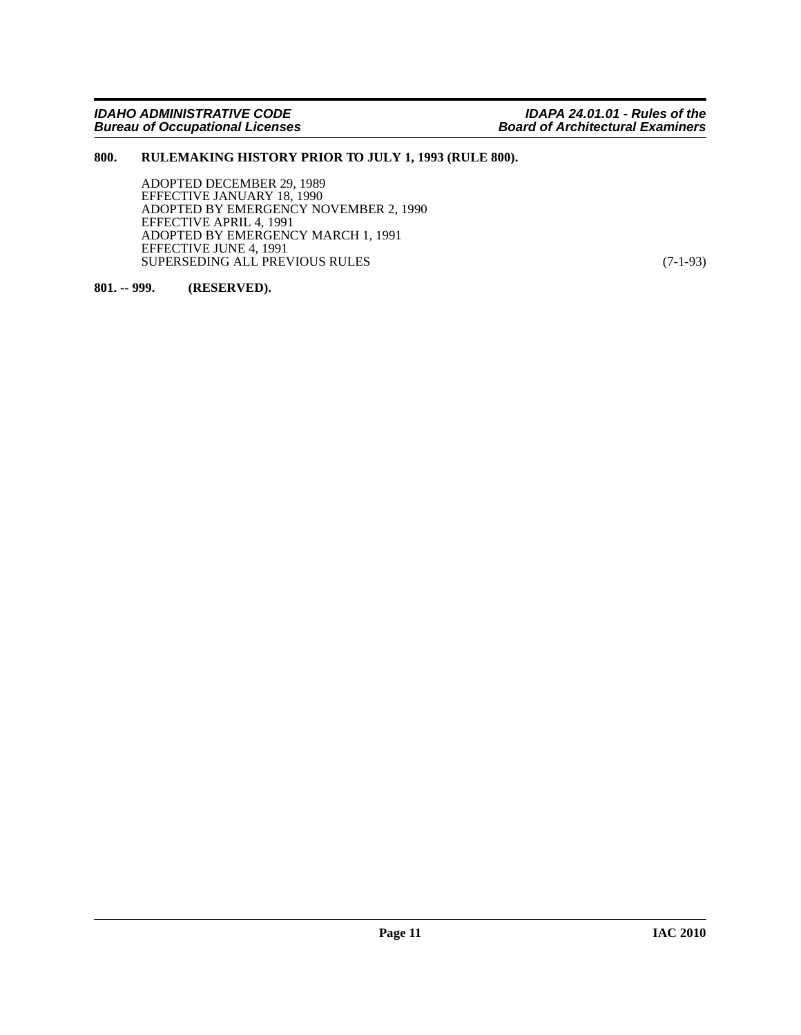#### <span id="page-10-0"></span>**800. RULEMAKING HISTORY PRIOR TO JULY 1, 1993 (RULE 800).**

ADOPTED DECEMBER 29, 1989 EFFECTIVE JANUARY 18, 1990 ADOPTED BY EMERGENCY NOVEMBER 2, 1990 EFFECTIVE APRIL 4, 1991 ADOPTED BY EMERGENCY MARCH 1, 1991 EFFECTIVE JUNE 4, 1991 SUPERSEDING ALL PREVIOUS RULES (7-1-93)

### <span id="page-10-1"></span>**801. -- 999. (RESERVED).**